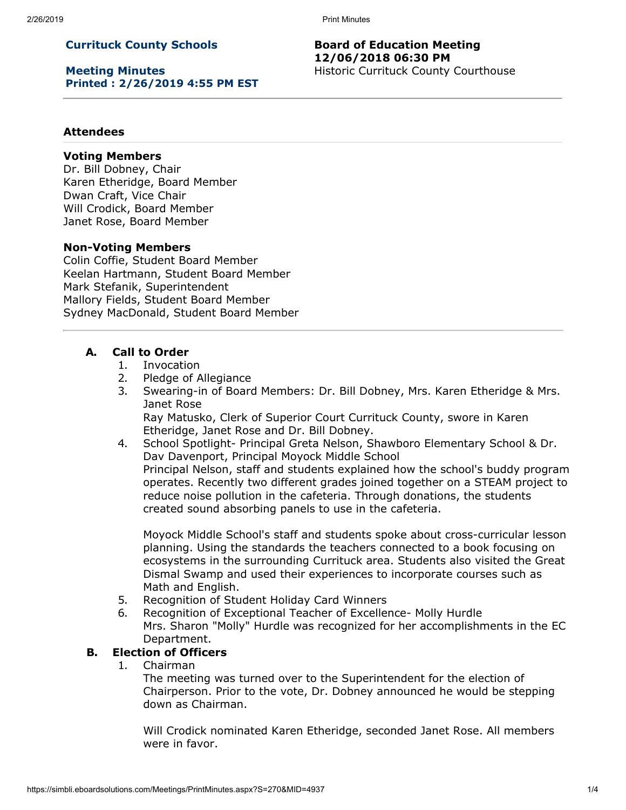2/26/2019 Print Minutes

# **Currituck County Schools**

**Meeting Minutes Printed : 2/26/2019 4:55 PM EST**

### **Board of Education Meeting 12/06/2018 06:30 PM** Historic Currituck County Courthouse

### **Attendees**

#### **Voting Members**

Dr. Bill Dobney, Chair Karen Etheridge, Board Member Dwan Craft, Vice Chair Will Crodick, Board Member Janet Rose, Board Member

### **Non-Voting Members**

Colin Coffie, Student Board Member Keelan Hartmann, Student Board Member Mark Stefanik, Superintendent Mallory Fields, Student Board Member Sydney MacDonald, Student Board Member

### **A. Call to Order**

- 1. Invocation
- 2. Pledge of Allegiance
- 3. Swearing-in of Board Members: Dr. Bill Dobney, Mrs. Karen Etheridge & Mrs. Janet Rose Ray Matusko, Clerk of Superior Court Currituck County, swore in Karen

Etheridge, Janet Rose and Dr. Bill Dobney.

4. School Spotlight- Principal Greta Nelson, Shawboro Elementary School & Dr. Dav Davenport, Principal Moyock Middle School Principal Nelson, staff and students explained how the school's buddy program operates. Recently two different grades joined together on a STEAM project to reduce noise pollution in the cafeteria. Through donations, the students created sound absorbing panels to use in the cafeteria.

Moyock Middle School's staff and students spoke about cross-curricular lesson planning. Using the standards the teachers connected to a book focusing on ecosystems in the surrounding Currituck area. Students also visited the Great Dismal Swamp and used their experiences to incorporate courses such as Math and English.

- 5. Recognition of Student Holiday Card Winners
- 6. Recognition of Exceptional Teacher of Excellence- Molly Hurdle Mrs. Sharon "Molly" Hurdle was recognized for her accomplishments in the EC Department.

# **B. Election of Officers**

1. Chairman

The meeting was turned over to the Superintendent for the election of Chairperson. Prior to the vote, Dr. Dobney announced he would be stepping down as Chairman.

Will Crodick nominated Karen Etheridge, seconded Janet Rose. All members were in favor.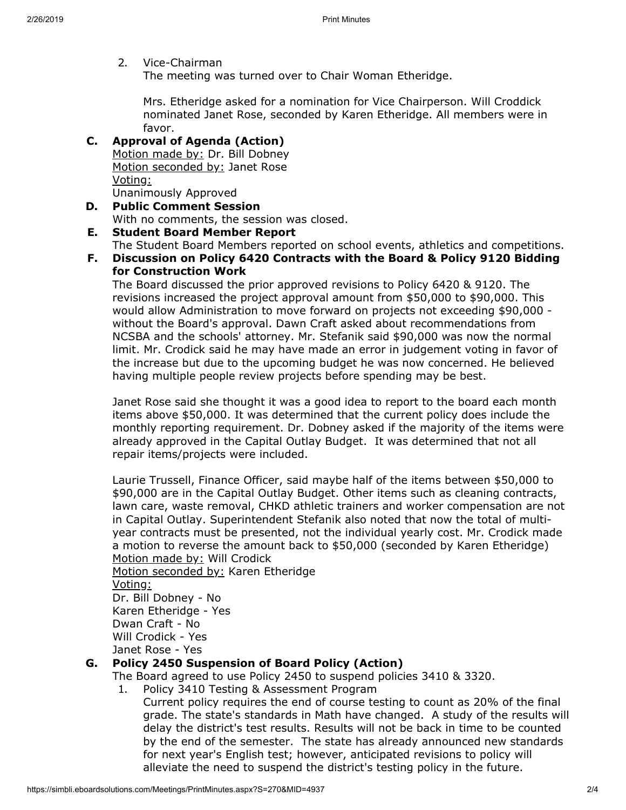2. Vice-Chairman

The meeting was turned over to Chair Woman Etheridge.

Mrs. Etheridge asked for a nomination for Vice Chairperson. Will Croddick nominated Janet Rose, seconded by Karen Etheridge. All members were in favor.

# **C. Approval of Agenda (Action)**

Motion made by: Dr. Bill Dobney Motion seconded by: Janet Rose Voting: Unanimously Approved

**D. Public Comment Session** With no comments, the session was closed.

# **E. Student Board Member Report**

The Student Board Members reported on school events, athletics and competitions.

**F. Discussion on Policy 6420 Contracts with the Board & Policy 9120 Bidding for Construction Work**

The Board discussed the prior approved revisions to Policy 6420 & 9120. The revisions increased the project approval amount from \$50,000 to \$90,000. This would allow Administration to move forward on projects not exceeding \$90,000 without the Board's approval. Dawn Craft asked about recommendations from NCSBA and the schools' attorney. Mr. Stefanik said \$90,000 was now the normal limit. Mr. Crodick said he may have made an error in judgement voting in favor of the increase but due to the upcoming budget he was now concerned. He believed having multiple people review projects before spending may be best.

Janet Rose said she thought it was a good idea to report to the board each month items above \$50,000. It was determined that the current policy does include the monthly reporting requirement. Dr. Dobney asked if the majority of the items were already approved in the Capital Outlay Budget. It was determined that not all repair items/projects were included.

Laurie Trussell, Finance Officer, said maybe half of the items between \$50,000 to \$90,000 are in the Capital Outlay Budget. Other items such as cleaning contracts, lawn care, waste removal, CHKD athletic trainers and worker compensation are not in Capital Outlay. Superintendent Stefanik also noted that now the total of multiyear contracts must be presented, not the individual yearly cost. Mr. Crodick made a motion to reverse the amount back to \$50,000 (seconded by Karen Etheridge) Motion made by: Will Crodick

Motion seconded by: Karen Etheridge Voting: Dr. Bill Dobney - No Karen Etheridge - Yes Dwan Craft - No Will Crodick - Yes Janet Rose - Yes

# **G. Policy 2450 Suspension of Board Policy (Action)**

The Board agreed to use Policy 2450 to suspend policies 3410 & 3320.

1. Policy 3410 Testing & Assessment Program

Current policy requires the end of course testing to count as 20% of the final grade. The state's standards in Math have changed. A study of the results will delay the district's test results. Results will not be back in time to be counted by the end of the semester. The state has already announced new standards for next year's English test; however, anticipated revisions to policy will alleviate the need to suspend the district's testing policy in the future.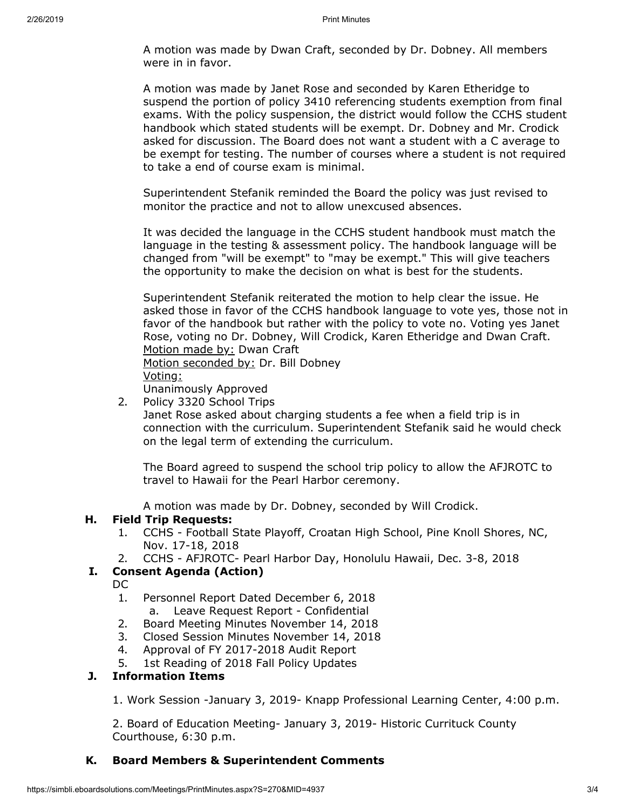A motion was made by Dwan Craft, seconded by Dr. Dobney. All members were in in favor.

A motion was made by Janet Rose and seconded by Karen Etheridge to suspend the portion of policy 3410 referencing students exemption from final exams. With the policy suspension, the district would follow the CCHS student handbook which stated students will be exempt. Dr. Dobney and Mr. Crodick asked for discussion. The Board does not want a student with a C average to be exempt for testing. The number of courses where a student is not required to take a end of course exam is minimal.

Superintendent Stefanik reminded the Board the policy was just revised to monitor the practice and not to allow unexcused absences.

It was decided the language in the CCHS student handbook must match the language in the testing & assessment policy. The handbook language will be changed from "will be exempt" to "may be exempt." This will give teachers the opportunity to make the decision on what is best for the students.

Superintendent Stefanik reiterated the motion to help clear the issue. He asked those in favor of the CCHS handbook language to vote yes, those not in favor of the handbook but rather with the policy to vote no. Voting yes Janet Rose, voting no Dr. Dobney, Will Crodick, Karen Etheridge and Dwan Craft. Motion made by: Dwan Craft

Motion seconded by: Dr. Bill Dobney Voting:

Unanimously Approved

2. Policy 3320 School Trips

Janet Rose asked about charging students a fee when a field trip is in connection with the curriculum. Superintendent Stefanik said he would check on the legal term of extending the curriculum.

The Board agreed to suspend the school trip policy to allow the AFJROTC to travel to Hawaii for the Pearl Harbor ceremony.

A motion was made by Dr. Dobney, seconded by Will Crodick.

### **H. Field Trip Requests:**

- 1. CCHS Football State Playoff, Croatan High School, Pine Knoll Shores, NC, Nov. 17-18, 2018
- 2. CCHS AFJROTC- Pearl Harbor Day, Honolulu Hawaii, Dec. 3-8, 2018

# **I. Consent Agenda (Action)**

DC

- 1. Personnel Report Dated December 6, 2018 a. Leave Request Report - Confidential
- 2. Board Meeting Minutes November 14, 2018
- 3. Closed Session Minutes November 14, 2018
- 4. Approval of FY 2017-2018 Audit Report
- 5. 1st Reading of 2018 Fall Policy Updates

### **J. Information Items**

1. Work Session -January 3, 2019- Knapp Professional Learning Center, 4:00 p.m.

2. Board of Education Meeting- January 3, 2019- Historic Currituck County Courthouse, 6:30 p.m.

### **K. Board Members & Superintendent Comments**